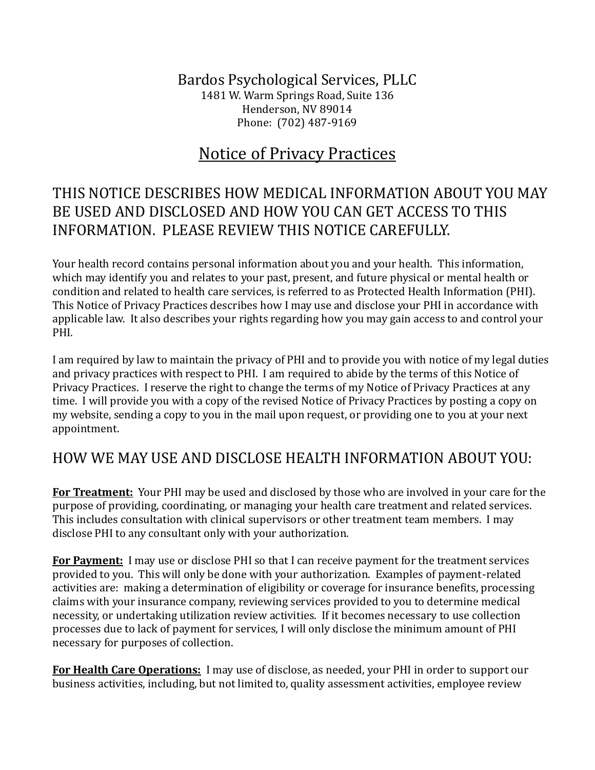Bardos Psychological Services, PLLC 1481 W. Warm Springs Road, Suite 136 Henderson, NV 89014 Phone: (702) 487-9169

# Notice of Privacy Practices

## THIS NOTICE DESCRIBES HOW MEDICAL INFORMATION ABOUT YOU MAY BE USED AND DISCLOSED AND HOW YOU CAN GET ACCESS TO THIS INFORMATION. PLEASE REVIEW THIS NOTICE CAREFULLY.

Your health record contains personal information about you and your health. This information, which may identify you and relates to your past, present, and future physical or mental health or condition and related to health care services, is referred to as Protected Health Information (PHI). This Notice of Privacy Practices describes how I may use and disclose your PHI in accordance with applicable law. It also describes your rights regarding how you may gain access to and control your PHI.

I am required by law to maintain the privacy of PHI and to provide you with notice of my legal duties and privacy practices with respect to PHI. I am required to abide by the terms of this Notice of Privacy Practices. I reserve the right to change the terms of my Notice of Privacy Practices at any time. I will provide you with a copy of the revised Notice of Privacy Practices by posting a copy on my website, sending a copy to you in the mail upon request, or providing one to you at your next appointment.

### HOW WE MAY USE AND DISCLOSE HEALTH INFORMATION ABOUT YOU:

**For Treatment:** Your PHI may be used and disclosed by those who are involved in your care for the purpose of providing, coordinating, or managing your health care treatment and related services. This includes consultation with clinical supervisors or other treatment team members. I may disclose PHI to any consultant only with your authorization.

**For Payment:** I may use or disclose PHI so that I can receive payment for the treatment services provided to you. This will only be done with your authorization. Examples of payment-related activities are: making a determination of eligibility or coverage for insurance benefits, processing claims with your insurance company, reviewing services provided to you to determine medical necessity, or undertaking utilization review activities. If it becomes necessary to use collection processes due to lack of payment for services, I will only disclose the minimum amount of PHI necessary for purposes of collection.

**For Health Care Operations:** I may use of disclose, as needed, your PHI in order to support our business activities, including, but not limited to, quality assessment activities, employee review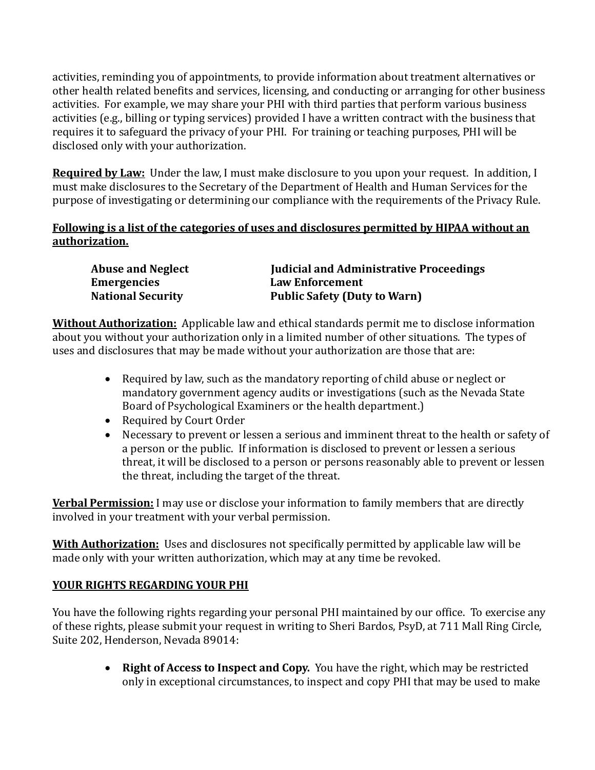activities, reminding you of appointments, to provide information about treatment alternatives or other health related benefits and services, licensing, and conducting or arranging for other business activities. For example, we may share your PHI with third parties that perform various business activities (e.g., billing or typing services) provided I have a written contract with the business that requires it to safeguard the privacy of your PHI. For training or teaching purposes, PHI will be disclosed only with your authorization.

**Required by Law:** Under the law, I must make disclosure to you upon your request. In addition, I must make disclosures to the Secretary of the Department of Health and Human Services for the purpose of investigating or determining our compliance with the requirements of the Privacy Rule.

#### **Following is a list of the categories of uses and disclosures permitted by HIPAA without an authorization.**

| <b>Abuse and Neglect</b> | <b>Iudicial and Administrative Proceedings</b> |
|--------------------------|------------------------------------------------|
| <b>Emergencies</b>       | <b>Law Enforcement</b>                         |
| <b>National Security</b> | <b>Public Safety (Duty to Warn)</b>            |

**Without Authorization:** Applicable law and ethical standards permit me to disclose information about you without your authorization only in a limited number of other situations. The types of uses and disclosures that may be made without your authorization are those that are:

- Required by law, such as the mandatory reporting of child abuse or neglect or mandatory government agency audits or investigations (such as the Nevada State Board of Psychological Examiners or the health department.)
- Required by Court Order
- Necessary to prevent or lessen a serious and imminent threat to the health or safety of a person or the public. If information is disclosed to prevent or lessen a serious threat, it will be disclosed to a person or persons reasonably able to prevent or lessen the threat, including the target of the threat.

**Verbal Permission:** I may use or disclose your information to family members that are directly involved in your treatment with your verbal permission.

**With Authorization:** Uses and disclosures not specifically permitted by applicable law will be made only with your written authorization, which may at any time be revoked.

### **YOUR RIGHTS REGARDING YOUR PHI**

You have the following rights regarding your personal PHI maintained by our office. To exercise any of these rights, please submit your request in writing to Sheri Bardos, PsyD, at 711 Mall Ring Circle, Suite 202, Henderson, Nevada 89014:

> **Right of Access to Inspect and Copy.** You have the right, which may be restricted only in exceptional circumstances, to inspect and copy PHI that may be used to make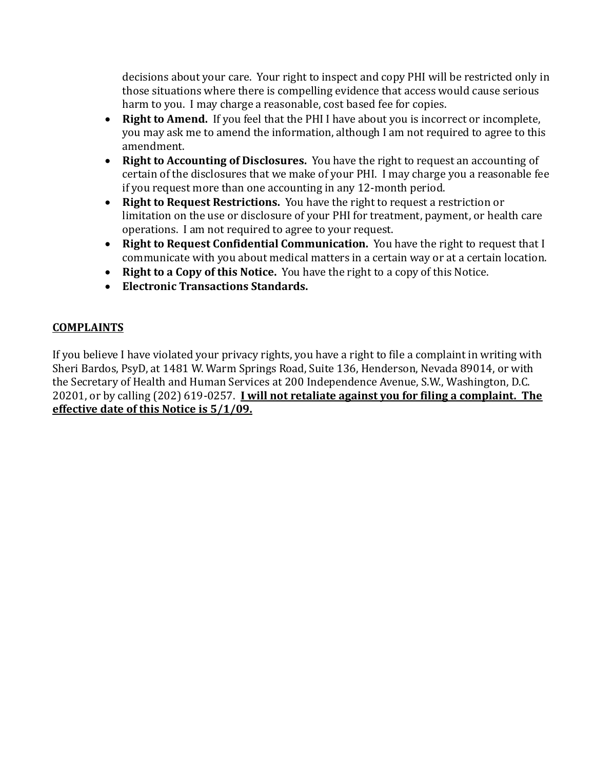decisions about your care. Your right to inspect and copy PHI will be restricted only in those situations where there is compelling evidence that access would cause serious harm to you. I may charge a reasonable, cost based fee for copies.

- **Right to Amend.** If you feel that the PHI I have about you is incorrect or incomplete, you may ask me to amend the information, although I am not required to agree to this amendment.
- **Right to Accounting of Disclosures.** You have the right to request an accounting of certain of the disclosures that we make of your PHI. I may charge you a reasonable fee if you request more than one accounting in any 12-month period.
- **Right to Request Restrictions.** You have the right to request a restriction or limitation on the use or disclosure of your PHI for treatment, payment, or health care operations. I am not required to agree to your request.
- **Right to Request Confidential Communication.** You have the right to request that I communicate with you about medical matters in a certain way or at a certain location.
- **Right to a Copy of this Notice.** You have the right to a copy of this Notice.
- **Electronic Transactions Standards.**

### **COMPLAINTS**

If you believe I have violated your privacy rights, you have a right to file a complaint in writing with Sheri Bardos, PsyD, at 1481 W. Warm Springs Road, Suite 136, Henderson, Nevada 89014, or with the Secretary of Health and Human Services at 200 Independence Avenue, S.W., Washington, D.C. 20201, or by calling (202) 619-0257. **I will not retaliate against you for filing a complaint. The effective date of this Notice is 5/1/09.**